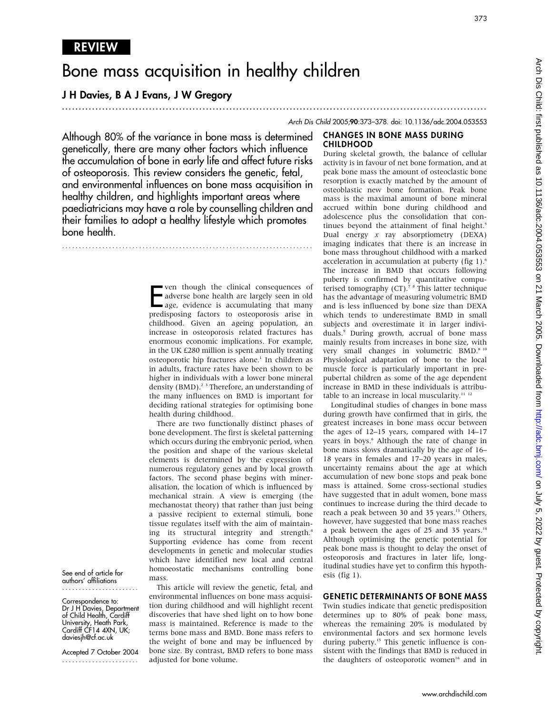# Bone mass acquisition in healthy children

# J H Davies, B A J Evans, J W Gregory

...............................................................................................................................

bone mass throughout childhood with a marked acceleration in accumulation at puberty (fig 1).<sup>6</sup> The increase in BMD that occurs following puberty is confirmed by quantitative computerised tomography (CT).<sup>7 8</sup> This latter technique has the advantage of measuring volumetric BMD and is less influenced by bone size than DEXA which tends to underestimate BMD in small subjects and overestimate it in larger individuals.9 During growth, accrual of bone mass mainly results from increases in bone size, with

Physiological adaptation of bone to the local muscle force is particularly important in prepubertal children as some of the age dependent increase in BMD in these individuals is attributable to an increase in local muscularity.<sup>11</sup><sup>12</sup> Longitudinal studies of changes in bone mass during growth have confirmed that in girls, the greatest increases in bone mass occur between the ages of 12–15 years, compared with 14–17 years in boys.<sup>6</sup> Although the rate of change in bone mass slows dramatically by the age of 16– 18 years in females and 17–20 years in males, uncertainty remains about the age at which accumulation of new bone stops and peak bone mass is attained. Some cross-sectional studies have suggested that in adult women, bone mass continues to increase during the third decade to reach a peak between 30 and 35 years.<sup>13</sup> Others, however, have suggested that bone mass reaches a peak between the ages of 25 and 35 years. $14$ Although optimising the genetic potential for peak bone mass is thought to delay the onset of osteoporosis and fractures in later life, longitudinal studies have yet to confirm this hypoth-

Arch Dis Child 2005;90:373–378. doi: 10.1136/adc.2004.053553

#### CHANGES IN BONE MASS DURING CHILDHOOD During skeletal growth, the balance of cellular

Although 80% of the variance in bone mass is determined genetically, there are many other factors which influence the accumulation of bone in early life and affect future risks of osteoporosis. This review considers the genetic, fetal, and environmental influences on bone mass acquisition in healthy children, and highlights important areas where paediatricians may have a role by counselling children and their families to adopt a healthy lifestyle which promotes bone health. activity is in favour of net bone formation, and at peak bone mass the amount of osteoclastic bone resorption is exactly matched by the amount of osteoblastic new bone formation. Peak bone mass is the maximal amount of bone mineral accrued within bone during childhood and adolescence plus the consolidation that continues beyond the attainment of final height.<sup>5</sup> Dual energy x ray absorptiometry (DEXA) imaging indicates that there is an increase in

...........................................................................

Frequences of adverse bone health are largely seen in old age, evidence is accumulating that many predisposing factors to osteoporosis arise in ven though the clinical consequences of adverse bone health are largely seen in old age, evidence is accumulating that many childhood. Given an ageing population, an increase in osteoporosis related fractures has enormous economic implications. For example, in the UK £280 million is spent annually treating osteoporotic hip fractures alone.<sup>1</sup> In children as in adults, fracture rates have been shown to be higher in individuals with a lower bone mineral density (BMD).<sup>23</sup> Therefore, an understanding of the many influences on BMD is important for deciding rational strategies for optimising bone health during childhood.

bone development. The first is skeletal patterning which occurs during the embryonic period, when the position and shape of the various skeletal elements is determined by the expression of numerous regulatory genes and by local growth factors. The second phase begins with mineralisation, the location of which is influenced by mechanical strain. A view is emerging (the mechanostat theory) that rather than just being a passive recipient to external stimuli, bone tissue regulates itself with the aim of maintaining its structural integrity and strength.<sup>4</sup> Supporting evidence has come from recent developments in genetic and molecular studies which have identified new local and central homoeostatic mechanisms controlling bone mass.

This article will review the genetic, fetal, and environmental influences on bone mass acquisition during childhood and will highlight recent discoveries that have shed light on to how bone mass is maintained. Reference is made to the terms bone mass and BMD. Bone mass refers to the weight of bone and may be influenced by bone size. By contrast, BMD refers to bone mass adjusted for bone volume.

very small changes in volumetric BMD.<sup>8 10</sup>

There are two functionally distinct phases of

#### GENETIC DETERMINANTS OF BONE MASS

esis (fig 1).

Twin studies indicate that genetic predisposition determines up to 80% of peak bone mass, whereas the remaining 20% is modulated by environmental factors and sex hormone levels during puberty.<sup>15</sup> This genetic influence is consistent with the findings that BMD is reduced in the daughters of osteoporotic women<sup>16</sup> and in

See end of article for authors' affiliations .......................

Correspondence to: Dr J H Davies, Department of Child Health, Cardiff University, Heath Park, Cardiff CF14 4XN, UK; daviesjh@cf.ac.uk

Accepted 7 October 2004 .......................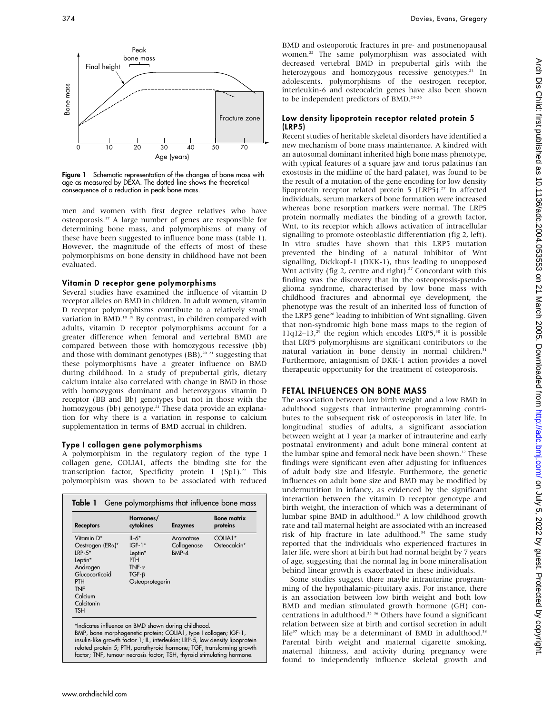

Figure 1 Schematic representation of the changes of bone mass with age as measured by DEXA. The dotted line shows the theoretical consequence of a reduction in peak bone mass.

men and women with first degree relatives who have osteoporosis.17 A large number of genes are responsible for determining bone mass, and polymorphisms of many of these have been suggested to influence bone mass (table 1). However, the magnitude of the effects of most of these polymorphisms on bone density in childhood have not been evaluated.

### Vitamin D receptor gene polymorphisms

Several studies have examined the influence of vitamin D receptor alleles on BMD in children. In adult women, vitamin D receptor polymorphisms contribute to a relatively small variation in BMD.<sup>18 19</sup> By contrast, in children compared with adults, vitamin D receptor polymorphisms account for a greater difference when femoral and vertebral BMD are compared between those with homozygous recessive (bb) and those with dominant genotypes (BB),<sup>20 21</sup> suggesting that these polymorphisms have a greater influence on BMD during childhood. In a study of prepubertal girls, dietary calcium intake also correlated with change in BMD in those with homozygous dominant and heterozygous vitamin D receptor (BB and Bb) genotypes but not in those with the homozygous (bb) genotype.<sup>21</sup> These data provide an explanation for why there is a variation in response to calcium supplementation in terms of BMD accrual in children.

# Type I collagen gene polymorphisms

A polymorphism in the regulatory region of the type I collagen gene, COLIA1, affects the binding site for the transcription factor, Specificity protein 1 (Sp1).<sup>22</sup> This polymorphism was shown to be associated with reduced

| <b>Receptors</b>          | Hormones/<br>cytokines | <b>Enzymes</b> | <b>Bone matrix</b><br>proteins |
|---------------------------|------------------------|----------------|--------------------------------|
| Vitamin D*                | $II - 6*$              | Aromatase      | COLIA1*                        |
| Oestrogen ( $ER\alpha$ )* | $IGF-1*$               | Collagenase    | Osteocalcin*                   |
| $IRP-5*$                  | Leptin*                | BMP-4          |                                |
| Leptin*                   | PTH                    |                |                                |
| Androgen                  | TNF- $\alpha$          |                |                                |
| Glucocorticoid            | $TGF-B$                |                |                                |
| <b>PTH</b>                | Osteoprotegerin        |                |                                |
| <b>TNF</b>                |                        |                |                                |
| Calcium                   |                        |                |                                |
| Calcitonin                |                        |                |                                |
| <b>TSH</b>                |                        |                |                                |

BMP, bone morphogenetic protein; COLIA1, type I collagen; IGF-1, insulin-like growth factor 1; IL, interleukin; LRP-5, low density lipoprotein related protein 5; PTH, parathyroid hormone; TGF, transforming growth factor; TNF, tumour necrosis factor; TSH, thyroid stimulating hormone.

BMD and osteoporotic fractures in pre- and postmenopausal women.22 The same polymorphism was associated with decreased vertebral BMD in prepubertal girls with the heterozygous and homozygous recessive genotypes.<sup>23</sup> In adolescents, polymorphisms of the oestrogen receptor, interleukin-6 and osteocalcin genes have also been shown to be independent predictors of BMD.<sup>24-26</sup>

# Low density lipoprotein receptor related protein 5 (LRP5)

Recent studies of heritable skeletal disorders have identified a new mechanism of bone mass maintenance. A kindred with an autosomal dominant inherited high bone mass phenotype, with typical features of a square jaw and torus palatinus (an exostosis in the midline of the hard palate), was found to be the result of a mutation of the gene encoding for low density lipoprotein receptor related protein  $5$  (LRP5).<sup>27</sup> In affected individuals, serum markers of bone formation were increased whereas bone resorption markers were normal. The LRP5 protein normally mediates the binding of a growth factor, Wnt, to its receptor which allows activation of intracellular signalling to promote osteoblastic differentiation (fig 2, left). In vitro studies have shown that this LRP5 mutation prevented the binding of a natural inhibitor of Wnt signalling, Dickkopf-1 (DKK-1), thus leading to unopposed Wnt activity (fig 2, centre and right).<sup>27</sup> Concordant with this finding was the discovery that in the osteoporosis-pseudoglioma syndrome, characterised by low bone mass with childhood fractures and abnormal eye development, the phenotype was the result of an inherited loss of function of the LRP5 gene<sup>28</sup> leading to inhibition of Wnt signalling. Given that non-syndromic high bone mass maps to the region of 11q12–13,<sup>29</sup> the region which encodes LRP5,<sup>30</sup> it is possible that LRP5 polymorphisms are significant contributors to the natural variation in bone density in normal children.<sup>31</sup> Furthermore, antagonism of DKK-1 action provides a novel therapeutic opportunity for the treatment of osteoporosis.

# FETAL INFLUENCES ON BONE MASS

The association between low birth weight and a low BMD in adulthood suggests that intrauterine programming contributes to the subsequent risk of osteoporosis in later life. In longitudinal studies of adults, a significant association between weight at 1 year (a marker of intrauterine and early postnatal environment) and adult bone mineral content at the lumbar spine and femoral neck have been shown.<sup>32</sup> These findings were significant even after adjusting for influences of adult body size and lifestyle. Furthermore, the genetic influences on adult bone size and BMD may be modified by undernutrition in infancy, as evidenced by the significant interaction between the vitamin D receptor genotype and birth weight, the interaction of which was a determinant of lumbar spine BMD in adulthood.<sup>33</sup> A low childhood growth rate and tall maternal height are associated with an increased risk of hip fracture in late adulthood.<sup>34</sup> The same study reported that the individuals who experienced fractures in later life, were short at birth but had normal height by 7 years of age, suggesting that the normal lag in bone mineralisation behind linear growth is exacerbated in these individuals.

Some studies suggest there maybe intrauterine programming of the hypothalamic-pituitary axis. For instance, there is an association between low birth weight and both low BMD and median stimulated growth hormone (GH) concentrations in adulthood.<sup>35</sup> <sup>36</sup> Others have found a significant relation between size at birth and cortisol secretion in adult life $37$  which may be a determinant of BMD in adulthood.<sup>38</sup> Parental birth weight and maternal cigarette smoking, maternal thinness, and activity during pregnancy were found to independently influence skeletal growth and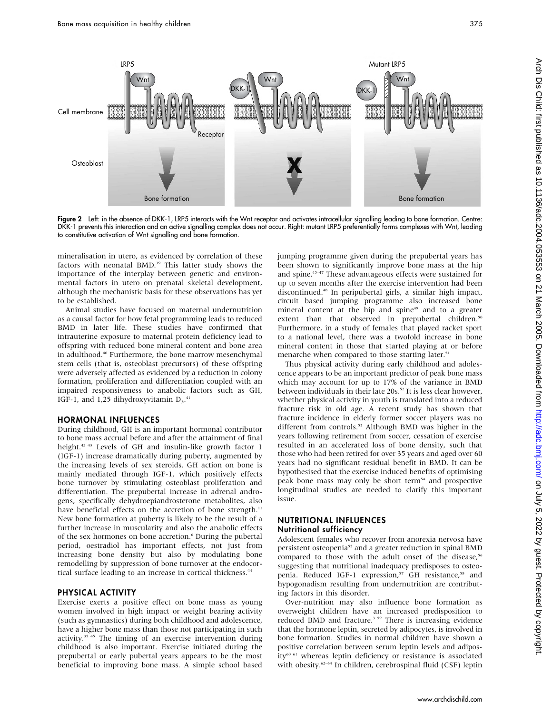

Figure 2 Left: in the absence of DKK-1, LRP5 interacts with the Wnt receptor and activates intracellular signalling leading to bone formation. Centre: DKK-1 prevents this interaction and an active signalling complex does not occur. Right: mutant LRP5 preferentially forms complexes with Wnt, leading to constitutive activation of Wnt signalling and bone formation.

mineralisation in utero, as evidenced by correlation of these factors with neonatal BMD.<sup>39</sup> This latter study shows the importance of the interplay between genetic and environmental factors in utero on prenatal skeletal development, although the mechanistic basis for these observations has yet to be established.

Animal studies have focused on maternal undernutrition as a causal factor for how fetal programming leads to reduced BMD in later life. These studies have confirmed that intrauterine exposure to maternal protein deficiency lead to offspring with reduced bone mineral content and bone area in adulthood.<sup>40</sup> Furthermore, the bone marrow mesenchymal stem cells (that is, osteoblast precursors) of these offspring were adversely affected as evidenced by a reduction in colony formation, proliferation and differentiation coupled with an impaired responsiveness to anabolic factors such as GH, IGF-1, and 1,25 dihydroxyvitamin  $D_3$ .<sup>41</sup>

#### HORMONAL INFLUENCES

During childhood, GH is an important hormonal contributor to bone mass accrual before and after the attainment of final height.<sup>42 43</sup> Levels of GH and insulin-like growth factor 1 (IGF-1) increase dramatically during puberty, augmented by the increasing levels of sex steroids. GH action on bone is mainly mediated through IGF-1, which positively effects bone turnover by stimulating osteoblast proliferation and differentiation. The prepubertal increase in adrenal androgens, specifically dehydroepiandrosterone metabolites, also have beneficial effects on the accretion of bone strength.<sup>11</sup> New bone formation at puberty is likely to be the result of a further increase in muscularity and also the anabolic effects of the sex hormones on bone accretion.<sup>6</sup> During the pubertal period, oestradiol has important effects, not just from increasing bone density but also by modulating bone remodelling by suppression of bone turnover at the endocortical surface leading to an increase in cortical thickness.<sup>44</sup>

#### PHYSICAL ACTIVITY

Exercise exerts a positive effect on bone mass as young women involved in high impact or weight bearing activity (such as gymnastics) during both childhood and adolescence, have a higher bone mass than those not participating in such activity.<sup>35 45</sup> The timing of an exercise intervention during childhood is also important. Exercise initiated during the prepubertal or early pubertal years appears to be the most beneficial to improving bone mass. A simple school based

jumping programme given during the prepubertal years has been shown to significantly improve bone mass at the hip and spine.<sup>45-47</sup> These advantageous effects were sustained for up to seven months after the exercise intervention had been discontinued.48 In peripubertal girls, a similar high impact, circuit based jumping programme also increased bone mineral content at the hip and spine $49$  and to a greater extent than that observed in prepubertal children.<sup>50</sup> Furthermore, in a study of females that played racket sport to a national level, there was a twofold increase in bone mineral content in those that started playing at or before menarche when compared to those starting later.<sup>51</sup>

Thus physical activity during early childhood and adolescence appears to be an important predictor of peak bone mass which may account for up to 17% of the variance in BMD between individuals in their late 20s.<sup>52</sup> It is less clear however, whether physical activity in youth is translated into a reduced fracture risk in old age. A recent study has shown that fracture incidence in elderly former soccer players was no different from controls.<sup>53</sup> Although BMD was higher in the years following retirement from soccer, cessation of exercise resulted in an accelerated loss of bone density, such that those who had been retired for over 35 years and aged over 60 years had no significant residual benefit in BMD. It can be hypothesised that the exercise induced benefits of optimising peak bone mass may only be short term<sup>54</sup> and prospective longitudinal studies are needed to clarify this important issue.

#### NUTRITIONAL INFLUENCES Nutritional sufficiency

Adolescent females who recover from anorexia nervosa have persistent osteopenia<sup>55</sup> and a greater reduction in spinal BMD compared to those with the adult onset of the disease,<sup>56</sup> suggesting that nutritional inadequacy predisposes to osteopenia. Reduced IGF-1 expression,<sup>57</sup> GH resistance,<sup>58</sup> and hypogonadism resulting from undernutrition are contributing factors in this disorder.

Over-nutrition may also influence bone formation as overweight children have an increased predisposition to reduced BMD and fracture.<sup>3 59</sup> There is increasing evidence that the hormone leptin, secreted by adipocytes, is involved in bone formation. Studies in normal children have shown a positive correlation between serum leptin levels and adiposity<sup>60 61</sup> whereas leptin deficiency or resistance is associated with obesity.<sup>62–64</sup> In children, cerebrospinal fluid (CSF) leptin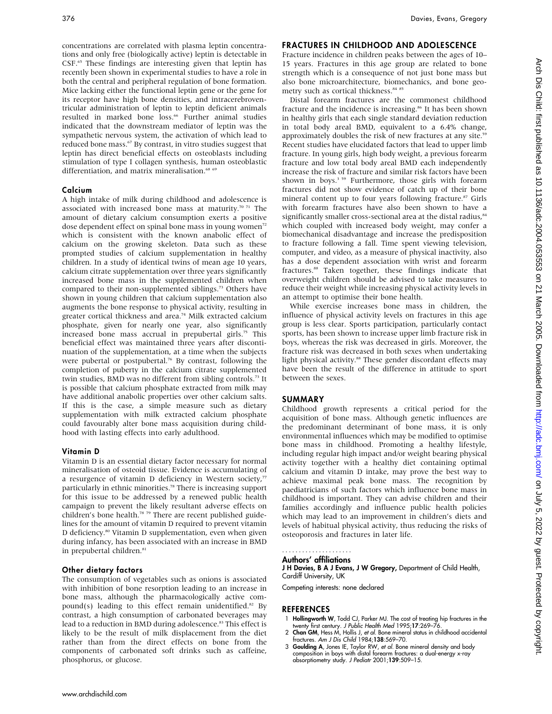concentrations are correlated with plasma leptin concentrations and only free (biologically active) leptin is detectable in CSF.65 These findings are interesting given that leptin has recently been shown in experimental studies to have a role in both the central and peripheral regulation of bone formation. Mice lacking either the functional leptin gene or the gene for its receptor have high bone densities, and intracerebroventricular administration of leptin to leptin deficient animals resulted in marked bone loss.<sup>66</sup> Further animal studies indicated that the downstream mediator of leptin was the sympathetic nervous system, the activation of which lead to reduced bone mass.<sup>67</sup> By contrast, in vitro studies suggest that leptin has direct beneficial effects on osteoblasts including stimulation of type I collagen synthesis, human osteoblastic differentiation, and matrix mineralisation.<sup>68 6</sup>

# Calcium

A high intake of milk during childhood and adolescence is associated with increased bone mass at maturity.<sup>70 71</sup> The amount of dietary calcium consumption exerts a positive dose dependent effect on spinal bone mass in young women<sup>72</sup> which is consistent with the known anabolic effect of calcium on the growing skeleton. Data such as these prompted studies of calcium supplementation in healthy children. In a study of identical twins of mean age 10 years, calcium citrate supplementation over three years significantly increased bone mass in the supplemented children when compared to their non-supplemented siblings.<sup>73</sup> Others have shown in young children that calcium supplementation also augments the bone response to physical activity, resulting in greater cortical thickness and area.<sup>74</sup> Milk extracted calcium phosphate, given for nearly one year, also significantly increased bone mass accrual in prepubertal girls.<sup>75</sup> This beneficial effect was maintained three years after discontinuation of the supplementation, at a time when the subjects were pubertal or postpubertal.76 By contrast, following the completion of puberty in the calcium citrate supplemented twin studies, BMD was no different from sibling controls.73 It is possible that calcium phosphate extracted from milk may have additional anabolic properties over other calcium salts. If this is the case, a simple measure such as dietary supplementation with milk extracted calcium phosphate could favourably alter bone mass acquisition during childhood with lasting effects into early adulthood.

# Vitamin D

Vitamin D is an essential dietary factor necessary for normal mineralisation of osteoid tissue. Evidence is accumulating of a resurgence of vitamin D deficiency in Western society, $77$ particularly in ethnic minorities.78 There is increasing support for this issue to be addressed by a renewed public health campaign to prevent the likely resultant adverse effects on children's bone health.<sup>78</sup> <sup>79</sup> There are recent published guidelines for the amount of vitamin D required to prevent vitamin D deficiency.80 Vitamin D supplementation, even when given during infancy, has been associated with an increase in BMD in prepubertal children.<sup>81</sup>

# Other dietary factors

The consumption of vegetables such as onions is associated with inhibition of bone resorption leading to an increase in bone mass, although the pharmacologically active compound(s) leading to this effect remain unidentified.<sup>82</sup> By contrast, a high consumption of carbonated beverages may lead to a reduction in BMD during adolescence.<sup>83</sup> This effect is likely to be the result of milk displacement from the diet rather than from the direct effects on bone from the components of carbonated soft drinks such as caffeine, phosphorus, or glucose.

# FRACTURES IN CHILDHOOD AND ADOLESCENCE

Fracture incidence in children peaks between the ages of 10– 15 years. Fractures in this age group are related to bone strength which is a consequence of not just bone mass but also bone microarchitecture, biomechanics, and bone geometry such as cortical thickness.<sup>84 85</sup>

Distal forearm fractures are the commonest childhood fracture and the incidence is increasing.<sup>86</sup> It has been shown in healthy girls that each single standard deviation reduction in total body areal BMD, equivalent to a 6.4% change, approximately doubles the risk of new fractures at any site.<sup>59</sup> Recent studies have elucidated factors that lead to upper limb fracture. In young girls, high body weight, a previous forearm fracture and low total body areal BMD each independently increase the risk of fracture and similar risk factors have been shown in boys.<sup>3 59</sup> Furthermore, those girls with forearm fractures did not show evidence of catch up of their bone mineral content up to four years following fracture.<sup>87</sup> Girls with forearm fractures have also been shown to have a significantly smaller cross-sectional area at the distal radius,<sup>84</sup> which coupled with increased body weight, may confer a biomechanical disadvantage and increase the predisposition to fracture following a fall. Time spent viewing television, computer, and video, as a measure of physical inactivity, also has a dose dependent association with wrist and forearm fractures.<sup>88</sup> Taken together, these findings indicate that overweight children should be advised to take measures to reduce their weight while increasing physical activity levels in an attempt to optimise their bone health.

While exercise increases bone mass in children, the influence of physical activity levels on fractures in this age group is less clear. Sports participation, particularly contact sports, has been shown to increase upper limb fracture risk in boys, whereas the risk was decreased in girls. Moreover, the fracture risk was decreased in both sexes when undertaking light physical activity.<sup>88</sup> These gender discordant effects may have been the result of the difference in attitude to sport between the sexes.

# SUMMARY

Childhood growth represents a critical period for the acquisition of bone mass. Although genetic influences are the predominant determinant of bone mass, it is only environmental influences which may be modified to optimise bone mass in childhood. Promoting a healthy lifestyle, including regular high impact and/or weight bearing physical activity together with a healthy diet containing optimal calcium and vitamin D intake, may prove the best way to achieve maximal peak bone mass. The recognition by paediatricians of such factors which influence bone mass in childhood is important. They can advise children and their families accordingly and influence public health policies which may lead to an improvement in children's diets and levels of habitual physical activity, thus reducing the risks of osteoporosis and fractures in later life.

#### Authors' affiliations .....................

J H Davies, B A J Evans, J W Gregory, Department of Child Health, Cardiff University, UK

Competing interests: none declared

# **REFERENCES**

- 1 Hollingworth W, Todd CJ, Parker MJ. The cost of treating hip fractures in the twenty first century. J Public Health Med 1995;17:269–76.
- 2 Chan GM, Hess M, Hollis J, et al. Bone mineral status in childhood accidental fractures. Am J Dis Child 1984;138:569–70.
- 3 Goulding A, Jones IE, Taylor RW, et al. Bone mineral density and body composition in boys with distal forearm fractures: a dual-energy x-ray absorptiometry study. J Pediatr 2001;139:509–15.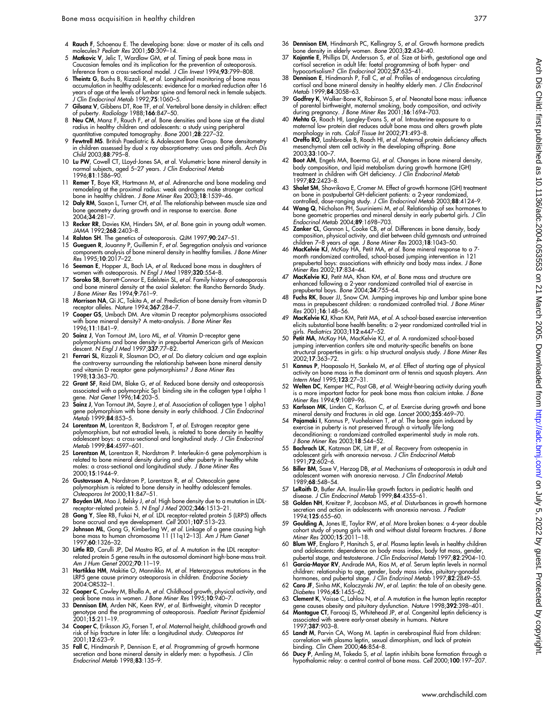- 4 Rauch F, Schoenau E. The developing bone: slave or master of its cells and molecules? Pediatr Res 2001;50:309–14.
- 5 Matkovic V, Jelic T, Wardlaw GM, et al. Timing of peak bone mass in Caucasian females and its implication for the prevention of osteoporosis. Inference from a cross-sectional model. J Clin Invest 1994;93:799–808.
- 6 Theintz G, Buchs B, Rizzoli R, et al. Longitudinal monitoring of bone mass accumulation in healthy adolescents: evidence for a marked reduction after 16 years of age at the levels of lumbar spine and femoral neck in female subjects. J Clin Endocrinol Metab 1992;75:1060–5.
- 7 Gilsanz V, Gibbens DT, Roe TF, et al. Vertebral bone density in children: effect of puberty. Radiology 1988;166:847–50.
- 8 **Neu CM**, Manz F, Rauch F, *et al.* Bone densities and bone size at the distal<br>radius in healthy children and adolescents: a study using peripheral quantitative computed tomography. Bone 2001;28:227–32.
- 9 Fewtrell MS. British Paediatric & Ádolescent Bone Group. Bone densitometry in children assessed by dual x ray absorptiometry: uses and pitfalls. Arch Dis Child 2003;88:795–8.
- 10 Lu PW, Cowell CT, LLoyd-Jones SA, et al. Volumetric bone mineral density in normal subjects, aged 5–27 years. J Clin Endocrinol Metab 1996;81:1586–90.
- 11 Remer T, Boye KR, Hartmann M, et al. Adrenarche and bone modeling and remodeling at the proximal radius: weak androgens make stronger cortical bone in healthy children. J Bone Miner Res 2003;18:1539–46.
- 12 Daly RM, Saxon L, Turner CH, et al. The relationship between muscle size and bone geometry during growth and in response to exercise. Bone 2004;34:281–7.
- 13 Recker RR, Davies KM, Hinders SM, et al. Bone gain in young adult women. JAMA 1992;268:2403–8.
- 14 Ralston SH. The genetics of osteoporosis. QJM 1997;90:247-51.
- 15 Gueguen R, Jouanny P, Guillemin F, et al. Segregation analysis and variance components analysis of bone mineral density in healthy families. J Bone Miner Res 1995;10:2017–22.
- 16 Seeman E, Hopper JL, Bach LA, et al. Reduced bone mass in daughters of women with osteoporosis. N Engl J Med 1989;320:554-8.
- 17 Soroko SB, Barrett-Connor E, Edelstein SL, et al. Family history of osteoporosis and bone mineral density at the axial skeleton: the Rancho Bernardo Study.<br>*J Bone Miner Res* 1994;**9**:761–9.
- 18 **Morrison NA**, Qi JC, Tokita A, et al. Prediction of bone density from vitamin D receptor alleles. Nature 1994;367:284-7.
- 19 Cooper GS, Umbach DM. Are vitamin D receptor polymorphisms associated with bone mineral density? A meta-analysis. J Bone Miner Res 1996;11:1841–9.
- 20 Sainz J, Van Tornout JM, Loro ML, et al. Vitamin D-receptor gene polymorphisms and bone density in prepubertal American girls of Mexican descent. N Engl J Med 1997;337:77–82.
- 21 Ferrari SL, Rizzoli R, Slosman DO, et al. Do dietary calcium and age explain the controversy surrounding the relationship between bone mineral density and vitamin D receptor gene polymorphisms? J Bone Miner Res 1998;13:363–70.
- 22 Grant SF, Reid DM, Blake G, et al. Reduced bone density and osteoporosis associated with a polymorphic Sp1 binding site in the collagen type I alpha 1 gene. Nat Genet 1996;14:203–5.
- 23 Sainz J, Van Tornout JM, Sayre J, et al. Association of collagen type 1 alpha1 gene polymorphism with bone density in early childhood. J Clin Endocrinol Metab 1999;84:853–5.
- 24 **Lorentzon M**, Lorentzon R, Backstrom T, *et al.* Estrogen receptor gene<br>polymorphism, but not estradiol levels, is related to bone density in healthy<br>adolescent boys: a cross-sectional and longitudinal study. *J Clin E* Metab 1999;**84**:4597–601.
- 25 Lorentzon M, Lorentzon R, Nordstrom P. Interleukin-6 gene polymorphism is related to bone mineral density during and after puberty in healthy white males: a cross-sectional and longitudinal study. J Bone Miner Res 2000;15:1944–9.
- 26 Gustavsson A, Nordstrom P, Lorentzon R, et al. Osteocalcin gene polymorphism is related to bone density in healthy adolescent females. Osteoporos Int 2000;11:847–51.
- 27 **Boyden LM**, Mao J, Belsky J, et al. High bone density due to a mutation in LDL-<br>receptor-related protein 5. N Engl J Med 2002;**346**:1513–21.<br>28 **Gong Y**, Slee RB, Fukai N, et al. LDL receptor-related protein 5 (LRP5) a
- 
- 29 Johnson ML, Gong G, Kimberling W, et al. Linkage of a gene causing high bone mass to human chromosome 11 (11q12–13). Am J Hum Genet 1997;60:1326–32.
- 30 Little RD, Carulli JP, Del Mastro RG, et al. A mutation in the LDL receptorrelated protein 5 gene results in the autosomal dominant high-bone-mass trait. Am J Hum Genet 2002;70:11–19.
- 31 Hartikka HM, Makitie O, Mannikko M, et al. Heterozygous mutations in the LRP5 gene cause primary osteoporosis in children. Endocrine Society 2004:ORS32–1.
- 
- 32 **Cooper C**, Cawley M, Bhalla A, *et al.* Childhood growth, physical activity, and<br>peak bone mass in women. J Bone Miner Res 1995;10:940–7.<br>33 **Dennison EM**, Arden NK, Keen RW, *et al.* Birthweight, vitamin D receptor<br>ge
- 34 Cooper C, Eriksson JG, Forsen T, et al. Maternal height, childhood growth and risk of hip fracture in later life: a longitudinal study. Osteoporos Int 2001;12:623–9.
- 35 Fall C, Hindmarsh P, Dennison E, et al. Programming of growth hormone secretion and bone mineral density in elderly men: a hypothesis. *J Clin*<br>*Endocrinol Metab* 1998;**83**:135–9.
- 36 Dennison EM, Hindmarsh PC, Kellingray S, et al. Growth hormone predicts bone density in elderly women. Bone 2003;32:434–40.
- 37 Kajantie E, Phillips DI, Andersson S, et al. Size at birth, gestational age and cortisol secretion in adult life: foetal programming of both hyper- and hypocortisolism? Clin Endocrinol 2002;57:635-41
- 38 Dennison E, Hindmarsh P, Fall C, et al. Profiles of endogenous circulating cortisol and bone mineral density in healthy elderly men. J Clin Endocrinol Metab 1999;84:3058–63.
- 39 Godfrey K, Walker-Bone K, Robinson S, et al. Neonatal bone mass: influence of parental birthweight, maternal smoking, body composition, and activity<br>during pregnancy. J Bone Miner Res 2001;16:1694–703.<br>40 Mehta G, Roach HI, Langley-Evans S, et al. Intrauterine exposure to a<br>maternal low protein d
- morphology in rats. Calcif Tissue Int 2002;71:493–8.
- 41 Oreffo RO, Lashbrooke B, Roach HI, et al. Maternal protein deficiency affects mesenchymal stem cell activity in the developing offspring. Bone 2003;33:100–7.
- 42 Boot AM, Engels MA, Boerma GJ, et al. Changes in bone mineral density, body composition, and lipid metabolism during growth hormone (GH)<br>treatment in children with GH deficiency. *J Clin Endocrinol Metab* 1997;82:2423–8.
- 43 Shalet SM, Shavrikova E, Cromer M. Effect of growth hormone (GH) treatment on bone in postpubertal GH-deficient patients: a 2-year randomized,
- controlled, dose-ranging study. *J Clin Endocrinol Metab* 2003;88:4124–9.<br>44 **Wang Q**, Nicholson PH, Suuriniemi M, *et al.* Relationship of sex hormones to bone geometric properties and mineral density in early pubertal girls. *J Clin*<br>*Endocrinol Metab* 2004;**89**:1698–703.
- 45 Zanker CL, Gannon L, Cooke CB, et al. Differences in bone density, body composition, physical activity, and diet between child gymnasts and untrained<br>children 7–8 years of age. *J Bone Miner Res* 2003;1**8**:1043–50.<br>46 MacKelvie KJ, McKay HA, Petit MA, *et al.* Bone mineral response to a 7-
- month randomized controlled, school-based jumping intervention in 121 prepubertal boys: associations with ethnicity and body mass index. J Bone Miner Res 2002;17:834–44.
- 47 MacKelvie KJ, Petit MA, Khan KM, et al. Bone mass and structure are enhanced following a 2-year randomized controlled trial of exercise in prepubertal boys. Bone 2004;34:755–64.
- 48 Fuchs RK, Bauer JJ, Snow CM. Jumping improves hip and lumbar spine bone mass in prepubescent children: a randomized controlled trial. J Bone Miner Res 2001;16:148–56.
- 49 MacKelvie KJ, Khan KM, Petit MA, et al. A school-based exercise intervention elicits substantial bone health benefits: a 2-year randomized controlled trial in girls. Pediatrics 2003;112:e447–52.
- 50 Petit MA, McKay HA, MacKelvie KJ, et al. A randomized school-based jumping intervention confers site and maturity-specific benefits on bone structural properties in girls: a hip structural analysis study. J Bone Miner Res 2002;17:363–72.
- 51 Kannus P, Haapasalo H, Sankelo M, et al. Effect of starting age of physical activity on bone mass in the dominant arm of tennis and squash players. Ann Intern Med 1995;123:27–31.
- 52 Welten DC, Kemper HC, Post GB, et al. Weight-bearing activity during youth is a more important factor for peak bone mass than calcium intake. J Bone Miner Res 1994;9:1089–96.
- Karlsson MK, Linden C, Karlsson C, et al. Exercise during growth and bone mineral density and fractures in old age. Lancet 2000;355:469–70.
- 54 **Pajamaki I**, Kannus P, Vuohelainen T, *et al*. The bone gain induced by<br>exercise in puberty is not preserved through a virtually life-long deconditioning: a randomized controlled experimental study in male rats. J Bone Miner Res 2003;18:544–52.
- 55 **Bachrach LK**, Katzman DK, Litt IF, *et al.* Recovery from osteopenia in<br>adolescent girls with anorexia nervosa. *J Clin Endocrinol Metab* 1991;72:602–6.
- 56 Biller BM, Saxe V, Herzog DB, et al. Mechanisms of osteoporosis in adult and adolescent women with anorexia nervosa. J Clin Endocrinol Metab 1989;68:548–54.
- 57 **LeRoith D**, Butler AA. Insulin-like growth factors in pediatric health and<br>disease. *J Clin Endocrinol Metab* 1999;84:4355–61.<br>58 **Golden NH**, Kreitzer P, Jacobson MS, *et al*. Disturbances in growth hormone
- secretion and action in adolescents with anorexia nervosa. J Pediatr 1994;125:655–60.
- 59 Goulding A, Jones IE, Taylor RW, et al. More broken bones: a 4-year double cohort study of young girls with and without distal forearm fractures. J Bone Miner Res 2000;15:2011–18.
- 60 **Blum WF**, Englaro P, Hanitsch S, *et al.* Plasma leptin levels in healthy children<br>, and adolescents: dependence on body mass index, body fat mass, gender<br>, pubertal stage, and testosterone. *J Clin Endocrinol Metab* 1
- 61 Garcia-Mayor RV, Andrade MA, Rios M, et al. Serum leptin levels in normal children: relationship to age, gender, body mass index, pituitary-gonadal hormones, and pubertal stage. J Clin Endcrinol Metab 1997;82:2849-55.
- 62 Caro JF, Sinha MK, Kolaczynski JW, et al. Leptin: the tale of an obesity gene. Diabetes 1996;45:1455–62.
- 63 Clement K, Vaisse C, Lahlou N, et al. A mutation in the human leptin receptor gene causes obesity and pituitary dystunction. N*ature* 1998;**392**:398–401.<br>64 **Montague CT**, Farooqi IS, Whitehead JP, *et al*. Congenital leptin deficiency is
- associated with severe early-onset obesity in humans. Nature 1997;387:903–8.
- 65 Landt M, Parvin CA, Wong M. Leptin in cerebrospinal fluid from children: correlation with plasma leptin, sexual dimorphism, and lack of protein binding. Clin Chem 2000;46:854–8.
- 66 Ducy P, Amling M, Takeda S, et al. Leptin inhibits bone formation through a hypothalamic relay: a central control of bone mass. Cell 2000;100:197–207.